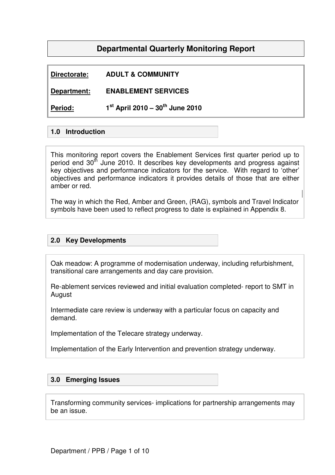# **Departmental Quarterly Monitoring Report**

# **Directorate: ADULT & COMMUNITY**

**Department: ENABLEMENT SERVICES** 

**Period: 1 st April 2010 – 30th June 2010** 

### **1.0 Introduction**

This monitoring report covers the Enablement Services first quarter period up to period end 30<sup>th</sup> June 2010. It describes key developments and progress against key objectives and performance indicators for the service. With regard to 'other' objectives and performance indicators it provides details of those that are either amber or red.

The way in which the Red, Amber and Green, (RAG), symbols and Travel Indicator symbols have been used to reflect progress to date is explained in Appendix 8.

### **2.0 Key Developments**

Oak meadow: A programme of modernisation underway, including refurbishment, transitional care arrangements and day care provision.

Re-ablement services reviewed and initial evaluation completed- report to SMT in August

Intermediate care review is underway with a particular focus on capacity and demand.

Implementation of the Telecare strategy underway.

Implementation of the Early Intervention and prevention strategy underway.

### **3.0 Emerging Issues**

Transforming community services- implications for partnership arrangements may be an issue.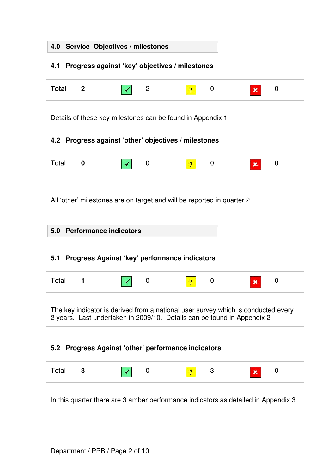|              | 4.0 Service Objectives / milestones |             |                                                                        |   |                                                                                                                                                              |   |
|--------------|-------------------------------------|-------------|------------------------------------------------------------------------|---|--------------------------------------------------------------------------------------------------------------------------------------------------------------|---|
| 4.1          |                                     |             | Progress against 'key' objectives / milestones                         |   |                                                                                                                                                              |   |
| <b>Total</b> | $\mathbf{2}$                        | 2           | $\overline{?}$                                                         | 0 | x                                                                                                                                                            | 0 |
|              |                                     |             | Details of these key milestones can be found in Appendix 1             |   |                                                                                                                                                              |   |
| 4.2          |                                     |             | Progress against 'other' objectives / milestones                       |   |                                                                                                                                                              |   |
| Total        | $\boldsymbol{0}$                    | $\mathbf 0$ | $\overline{2}$                                                         | 0 | x                                                                                                                                                            | 0 |
| 5.0          | <b>Performance indicators</b>       |             | All 'other' milestones are on target and will be reported in quarter 2 |   |                                                                                                                                                              |   |
| 5.1          |                                     |             | Progress Against 'key' performance indicators                          |   |                                                                                                                                                              |   |
| Total        | 1                                   | 0           |                                                                        | 0 | x                                                                                                                                                            | 0 |
|              |                                     |             |                                                                        |   | The key indicator is derived from a national user survey which is conducted every<br>2 years. Last undertaken in 2009/10. Details can be found in Appendix 2 |   |
|              |                                     |             | 5.2 Progress Against 'other' performance indicators                    |   |                                                                                                                                                              |   |
| Total        | 3                                   | $\mathbf 0$ | $\overline{?}$                                                         | 3 | $\mathbf x$                                                                                                                                                  | 0 |
|              |                                     |             |                                                                        |   | In this quarter there are 3 amber performance indicators as detailed in Appendix 3                                                                           |   |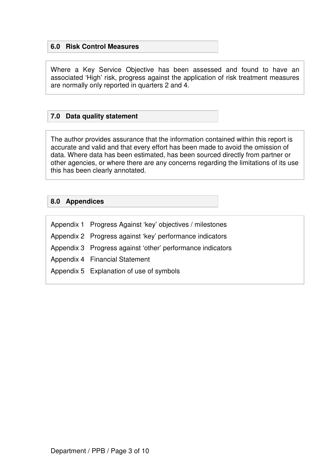### **6.0 Risk Control Measures**

Where a Key Service Objective has been assessed and found to have an associated 'High' risk, progress against the application of risk treatment measures are normally only reported in quarters 2 and 4.

### **7.0 Data quality statement**

The author provides assurance that the information contained within this report is accurate and valid and that every effort has been made to avoid the omission of data. Where data has been estimated, has been sourced directly from partner or other agencies, or where there are any concerns regarding the limitations of its use this has been clearly annotated.

### **8.0 Appendices**

| Appendix 1 Progress Against 'key' objectives / milestones  |
|------------------------------------------------------------|
| Appendix 2 Progress against 'key' performance indicators   |
| Appendix 3 Progress against 'other' performance indicators |
| Appendix 4 Financial Statement                             |
| Appendix 5 Explanation of use of symbols                   |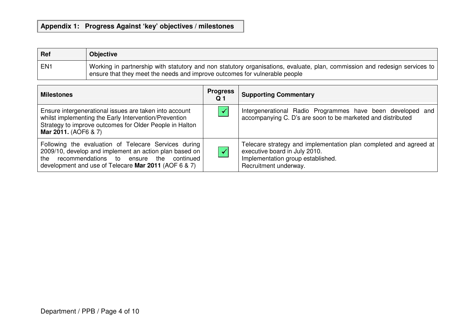# **Appendix 1: Progress Against 'key' objectives / milestones**

| Ref             | <b>Objective</b>                                                                                                                                                                                           |
|-----------------|------------------------------------------------------------------------------------------------------------------------------------------------------------------------------------------------------------|
| EN <sub>1</sub> | Vorking in partnership with statutory and non statutory organisations, evaluate, plan, commission and redesign services to  <br>ensure that they meet the needs and improve outcomes for vulnerable people |

| <b>Milestones</b>                                                                                                                                                                                                        | <b>Progress</b><br>Q <sub>1</sub> | <b>Supporting Commentary</b>                                                                                                                                     |
|--------------------------------------------------------------------------------------------------------------------------------------------------------------------------------------------------------------------------|-----------------------------------|------------------------------------------------------------------------------------------------------------------------------------------------------------------|
| Ensure intergenerational issues are taken into account<br>whilst implementing the Early Intervention/Prevention<br>Strategy to improve outcomes for Older People in Halton<br>Mar 2011. (AOF6 & 7)                       |                                   | Intergenerational Radio Programmes have been developed and<br>accompanying C. D's are soon to be marketed and distributed                                        |
| Following the evaluation of Telecare Services during<br>2009/10, develop and implement an action plan based on<br>recommendations to ensure the continued<br>the<br>development and use of Telecare Mar 2011 (AOF 6 & 7) |                                   | Telecare strategy and implementation plan completed and agreed at<br>executive board in July 2010.<br>Implementation group established.<br>Recruitment underway. |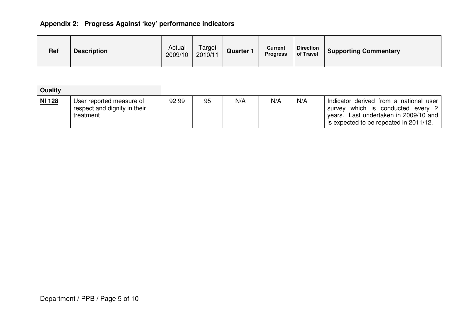# **Appendix 2: Progress Against 'key' performance indicators**

| <b>Ref</b> | <b>Description</b> | Actual<br>2009/10 | Target<br>2010/11 | Quarter | <b>Current</b><br><b>Progress</b> | <b>Direction</b><br>of Travel | <b>Supporting Commentary</b> |
|------------|--------------------|-------------------|-------------------|---------|-----------------------------------|-------------------------------|------------------------------|
|            |                    |                   |                   |         |                                   |                               |                              |

| Quality |                                                                       |       |    |     |     |     |                                                                                                                                                                |
|---------|-----------------------------------------------------------------------|-------|----|-----|-----|-----|----------------------------------------------------------------------------------------------------------------------------------------------------------------|
| NI 128  | User reported measure of<br>respect and dignity in their<br>treatment | 92.99 | 95 | N/A | N/A | N/A | Indicator derived from a national user<br>survey which is conducted every 2<br>years. Last undertaken in 2009/10 and<br>is expected to be repeated in 2011/12. |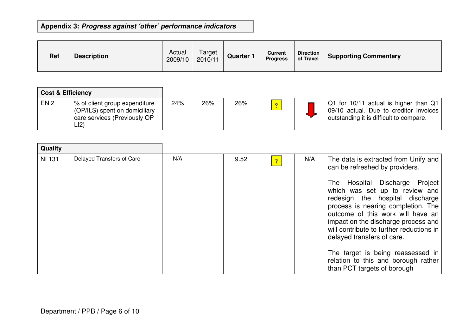# **Appendix 3: Progress against 'other' performance indicators**

| <b>Ref</b> | <b>Description</b> | Actual<br>2009/10 | Target<br>2010/11 | Quarter | Current<br><b>Progress</b> | <b>Direction</b><br>of Travel | Supporting Commentary |
|------------|--------------------|-------------------|-------------------|---------|----------------------------|-------------------------------|-----------------------|
|------------|--------------------|-------------------|-------------------|---------|----------------------------|-------------------------------|-----------------------|

| <b>Cost &amp; Efficiency</b> |                                                                                                       |     |     |     |                |                                                                                                                            |
|------------------------------|-------------------------------------------------------------------------------------------------------|-----|-----|-----|----------------|----------------------------------------------------------------------------------------------------------------------------|
| EN <sub>2</sub>              | % of client group expenditure<br>(OP/ILS) spent on domiciliary<br>care services (Previously OP<br>LI2 | 24% | 26% | 26% | $\overline{?}$ | Q1 for 10/11 actual is higher than Q1<br>09/10 actual. Due to creditor invoices<br>outstanding it is difficult to compare. |

| Quality       |                           |     |      |                |     |                                                                                                                                                                                                                                                                                                                                                                                 |
|---------------|---------------------------|-----|------|----------------|-----|---------------------------------------------------------------------------------------------------------------------------------------------------------------------------------------------------------------------------------------------------------------------------------------------------------------------------------------------------------------------------------|
| <b>NI 131</b> | Delayed Transfers of Care | N/A | 9.52 | $\overline{?}$ | N/A | The data is extracted from Unify and<br>can be refreshed by providers.<br>Hospital Discharge<br>Project<br>The<br>which was set up to review and<br>redesign the hospital discharge<br>process is nearing completion. The<br>outcome of this work will have an<br>impact on the discharge process and<br>will contribute to further reductions in<br>delayed transfers of care. |
|               |                           |     |      |                |     | The target is being reassessed in<br>relation to this and borough rather<br>than PCT targets of borough                                                                                                                                                                                                                                                                         |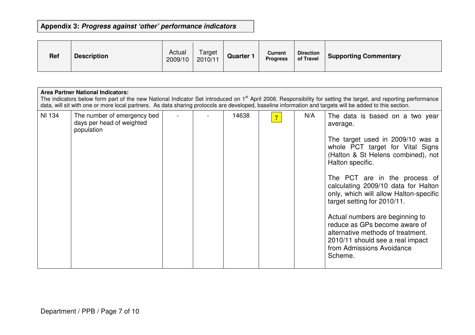# **Appendix 3: Progress against 'other' performance indicators**

| <b>Ref</b> | <b>Description</b> | Actual<br>2009/10 | Target<br>2010/11 | Quarter 1 | Current<br><b>Progress</b> | <b>Direction</b><br>of Travel | <b>Supporting Commentary</b> |
|------------|--------------------|-------------------|-------------------|-----------|----------------------------|-------------------------------|------------------------------|
|------------|--------------------|-------------------|-------------------|-----------|----------------------------|-------------------------------|------------------------------|

#### **Area Partner National Indicators:**

The indicators below form part of the new National Indicator Set introduced on 1<sup>st</sup> April 2008. Responsibility for setting the target, and reporting performance<br>data, will sit with one or more local partners. As data shar

| <b>NI 134</b> | The number of emergency bed<br>days per head of weighted<br>population |  | 14638 | $\overline{\mathcal{L}}$ | N/A | The data is based on a two year<br>average.                                                                                                                                       |
|---------------|------------------------------------------------------------------------|--|-------|--------------------------|-----|-----------------------------------------------------------------------------------------------------------------------------------------------------------------------------------|
|               |                                                                        |  |       |                          |     | The target used in 2009/10 was a<br>whole PCT target for Vital Signs<br>(Halton & St Helens combined), not<br>Halton specific.                                                    |
|               |                                                                        |  |       |                          |     | The PCT are in the process of<br>calculating 2009/10 data for Halton<br>only, which will allow Halton-specific<br>target setting for 2010/11.                                     |
|               |                                                                        |  |       |                          |     | Actual numbers are beginning to<br>reduce as GPs become aware of<br>alternative methods of treatment.<br>2010/11 should see a real impact<br>from Admissions Avoidance<br>Scheme. |
|               |                                                                        |  |       |                          |     |                                                                                                                                                                                   |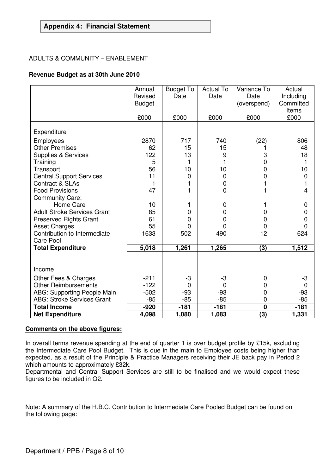### **Appendix 4: Financial Statement**

#### ADULTS & COMMUNITY – ENABLEMENT

#### **Revenue Budget as at 30th June 2010**

|                                                       | Annual<br>Revised<br><b>Budget</b><br>£000 | <b>Budget To</b><br>Date<br>£000 | <b>Actual To</b><br>Date<br>£000 | Variance To<br>Date<br>(overspend)<br>£000 | Actual<br>Including<br>Committed<br><b>Items</b><br>£000 |
|-------------------------------------------------------|--------------------------------------------|----------------------------------|----------------------------------|--------------------------------------------|----------------------------------------------------------|
| Expenditure                                           |                                            |                                  |                                  |                                            |                                                          |
| Employees                                             | 2870                                       | 717                              | 740                              | (22)                                       | 806                                                      |
| <b>Other Premises</b>                                 | 62                                         | 15                               | 15                               |                                            | 48                                                       |
| <b>Supplies &amp; Services</b>                        | 122                                        | 13                               | 9                                | 3                                          | 18                                                       |
| Training                                              | 5                                          | 1                                | 1                                | $\mathbf 0$                                | 1                                                        |
| Transport                                             | 56                                         | 10                               | 10                               | $\overline{0}$                             | 10                                                       |
| <b>Central Support Services</b>                       | 11                                         | $\mathbf 0$                      | $\overline{0}$                   | $\mathbf 0$                                | $\mathbf 0$                                              |
| Contract & SLAs                                       | $\mathbf{1}$                               | 1                                | 0                                | 1                                          | 1                                                        |
| <b>Food Provisions</b>                                | 47                                         | 1                                | 0                                |                                            | $\overline{4}$                                           |
| <b>Community Care:</b>                                |                                            |                                  |                                  |                                            |                                                          |
| Home Care                                             | 10                                         | 1                                | 0                                | 1                                          | $\mathbf 0$                                              |
| <b>Adult Stroke Services Grant</b>                    | 85<br>61                                   | 0<br>$\overline{0}$              | 0                                | 0<br>$\overline{0}$                        | $\mathbf 0$                                              |
| <b>Preserved Rights Grant</b><br><b>Asset Charges</b> | 55                                         | 0                                | $\Omega$<br>$\Omega$             | $\overline{0}$                             | $\mathbf 0$<br>$\mathbf 0$                               |
| Contribution to Intermediate                          | 1633                                       | 502                              | 490                              | 12                                         | 624                                                      |
| <b>Care Pool</b>                                      |                                            |                                  |                                  |                                            |                                                          |
| <b>Total Expenditure</b>                              | 5,018                                      | 1,261                            | 1,265                            | (3)                                        | 1,512                                                    |
|                                                       |                                            |                                  |                                  |                                            |                                                          |
|                                                       |                                            |                                  |                                  |                                            |                                                          |
| Income                                                |                                            |                                  |                                  |                                            |                                                          |
| Other Fees & Charges                                  | $-211$                                     | $-3$                             | -3                               | 0                                          | $-3$                                                     |
| <b>Other Reimbursements</b>                           | $-122$                                     | 0                                | $\Omega$                         | $\mathbf 0$                                | $\mathbf 0$                                              |
| <b>ABG: Supporting People Main</b>                    | $-502$                                     | $-93$                            | $-93$                            | 0                                          | $-93$                                                    |
| <b>ABG: Stroke Services Grant</b>                     | $-85$                                      | $-85$                            | $-85$                            | $\mathbf 0$                                | $-85$                                                    |
| <b>Total Income</b>                                   | $-920$                                     | $-181$                           | $-181$                           | $\overline{\mathbf{0}}$                    | $-181$                                                   |
| <b>Net Expenditure</b>                                | 4,098                                      | 1,080                            | 1,083                            | $\overline{(3)}$                           | 1,331                                                    |

#### **Comments on the above figures:**

In overall terms revenue spending at the end of quarter 1 is over budget profile by £15k, excluding the Intermediate Care Pool Budget. This is due in the main to Employee costs being higher than expected, as a result of the Principle & Practice Managers receiving their JE back pay in Period 2 which amounts to approximately £32k.

Departmental and Central Support Services are still to be finalised and we would expect these figures to be included in Q2.

Note: A summary of the H.B.C. Contribution to Intermediate Care Pooled Budget can be found on the following page: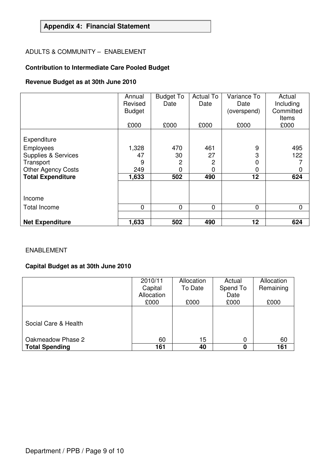## **Appendix 4: Financial Statement**

### ADULTS & COMMUNITY – ENABLEMENT

# **Contribution to Intermediate Care Pooled Budget**

## **Revenue Budget as at 30th June 2010**

|                                | Annual<br>Revised<br><b>Budget</b><br>£000 | <b>Budget To</b><br>Date<br>£000 | <b>Actual To</b><br>Date<br>£000 | Variance To<br>Date<br>(overspend)<br>£000 | Actual<br>Including<br>Committed<br>Items<br>£000 |
|--------------------------------|--------------------------------------------|----------------------------------|----------------------------------|--------------------------------------------|---------------------------------------------------|
| Expenditure                    |                                            |                                  |                                  |                                            |                                                   |
| <b>Employees</b>               | 1,328                                      | 470                              | 461                              | 9                                          | 495                                               |
| <b>Supplies &amp; Services</b> | 47                                         | 30                               | 27                               | 3                                          | 122                                               |
| Transport                      | 9                                          | 2                                | $\overline{2}$                   | 0                                          |                                                   |
| <b>Other Agency Costs</b>      | 249                                        | 0                                | 0                                | 0                                          | 0                                                 |
| <b>Total Expenditure</b>       | 1,633                                      | 502                              | 490                              | 12                                         | 624                                               |
|                                |                                            |                                  |                                  |                                            |                                                   |
| Income                         |                                            |                                  |                                  |                                            |                                                   |
| <b>Total Income</b>            | 0                                          | $\Omega$                         | $\overline{0}$                   | 0                                          | 0                                                 |
|                                |                                            |                                  |                                  |                                            |                                                   |
| <b>Net Expenditure</b>         | 1,633                                      | 502                              | 490                              | 12                                         | 624                                               |

### ENABLEMENT

## **Capital Budget as at 30th June 2010**

|                       | 2010/11    | Allocation | Actual   | Allocation |
|-----------------------|------------|------------|----------|------------|
|                       | Capital    | To Date    | Spend To | Remaining  |
|                       | Allocation |            | Date     |            |
|                       | £000       | £000       | £000     | £000       |
|                       |            |            |          |            |
| Social Care & Health  |            |            |          |            |
| Oakmeadow Phase 2     | 60         | 15         | 0        | 60         |
| <b>Total Spending</b> | 161        | 40         |          | 161        |